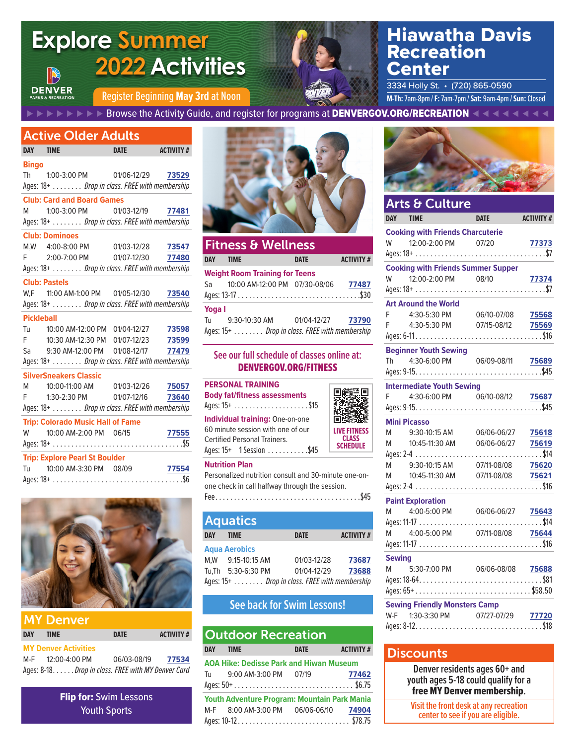# **Explore Summer 2022 Activities**



# Hiawatha Davis Recreation Center

Register Beginning May 3rd at Noon **MACHANGE CONSTRAINS AND M-Th:** 7am-8pm / **F:** 7am-7pm / Sat: 9am-4pm / Sun: Closed 3334 Holly St. • (720) 865-0590

⊲   ⊲   ⊲   ⊲   ⊲   ⊲   ⊲   ⊲   Browse the Activity Guide, and register for programs at DENVERGOV.ORG/RECREATION   ⊳   ⊳   ⊳   ⊳   ⊳   ⊳   ⊳   ⊳

## Active Older Adults

**DENVER** 

| DAY TIME          |                                                | <b>DATE</b> | <b>ACTIVITY #</b> |
|-------------------|------------------------------------------------|-------------|-------------------|
| <b>Bingo</b>      |                                                |             |                   |
|                   | Th 1:00-3:00 PM 01/06-12/29 73529              |             |                   |
|                   | Ages: 18+ Drop in class. FREE with membership  |             |                   |
|                   | <b>Club: Card and Board Games</b>              |             |                   |
|                   | M 1:00-3:00 PM 01/03-12/19 77481               |             |                   |
|                   | Ages: 18+  Drop in class. FREE with membership |             |                   |
|                   | <b>Club: Dominoes</b>                          |             |                   |
|                   | M, W 4:00-8:00 PM 01/03-12/28 73547            |             |                   |
|                   | F 2:00-7:00 PM 01/07-12/30 77480               |             |                   |
|                   | Ages: 18+ Drop in class. FREE with membership  |             |                   |
|                   | <b>Club: Pastels</b>                           |             |                   |
|                   | W,F 11:00 AM-1:00 PM 01/05-12/30 73540         |             |                   |
|                   | Ages: 18+  Drop in class. FREE with membership |             |                   |
| <b>Pickleball</b> |                                                |             |                   |
|                   | Tu 10:00 AM-12:00 PM 01/04-12/27 73598         |             |                   |
|                   | F 10:30 AM-12:30 PM 01/07-12/23 73599          |             |                   |
|                   | Sa 9:30 AM-12:00 PM 01/08-12/17 77479          |             |                   |
|                   | Ages: 18+  Drop in class. FREE with membership |             |                   |
|                   | <b>SilverSneakers Classic</b>                  |             |                   |
|                   | M  10:00-11:00 AM  01/03-12/26  75057          |             |                   |
|                   | F 1:30-2:30 PM 01/07-12/16 73640               |             |                   |
|                   | Ages: 18+ Drop in class. FREE with membership  |             |                   |
|                   | <b>Trip: Colorado Music Hall of Fame</b>       |             |                   |
|                   | W 10:00 AM-2:00 PM 06/15                       |             | 77555             |
|                   |                                                |             |                   |
|                   | <b>Trip: Explore Pearl St Boulder</b>          |             |                   |
|                   | Tu 10:00 AM-3:30 PM 08/09 77554                |             |                   |
|                   |                                                |             |                   |



| DAY . | <b>TIME</b>                                         | <b>DATE</b> | <b>ACTIVITY #</b> |
|-------|-----------------------------------------------------|-------------|-------------------|
|       | <b>MY Denver Activities</b>                         |             |                   |
|       | M-F 12:00-4:00 PM                                   | 06/03-08/19 | 77534             |
|       | Ages: 8-18. Drop in class. FREE with MY Denver Card |             |                   |

Flip for: Swim Lessons Youth Sports



| <b>Fitness &amp; Wellness</b> |                                               |             |                  |  |  |  |  |  |  |  |  |
|-------------------------------|-----------------------------------------------|-------------|------------------|--|--|--|--|--|--|--|--|
| <b>DAY</b>                    | <b>TIMF</b>                                   | <b>DATE</b> | <b>ACTIVITY#</b> |  |  |  |  |  |  |  |  |
|                               | <b>Weight Room Training for Teens</b>         |             |                  |  |  |  |  |  |  |  |  |
| Sa l                          | 10:00 AM-12:00 PM 07/30-08/06                 |             | 77487            |  |  |  |  |  |  |  |  |
| Yoga I                        |                                               |             |                  |  |  |  |  |  |  |  |  |
| Tu                            | 9:30-10:30 AM   01/04-12/27   73790           |             |                  |  |  |  |  |  |  |  |  |
|                               | Ages: 15+ Drop in class. FREE with membership |             |                  |  |  |  |  |  |  |  |  |

### **See our full schedule of classes online at:**  DENVERGOV.ORG/FITNESS

| <b>PERSONAL TRAINING</b><br><b>Body fat/fitness assessments</b>                                                                                | 回鉄禁回                                                   |
|------------------------------------------------------------------------------------------------------------------------------------------------|--------------------------------------------------------|
| <b>Individual training: One-on-one</b><br>60 minute session with one of our<br><b>Certified Personal Trainers.</b><br>Ages: 15+ 1 Session \$45 | <b>LIVE FITNESS</b><br><b>CLASS</b><br><b>SCHEDULE</b> |
|                                                                                                                                                |                                                        |

### **Nutrition Plan**

Personalized nutrition consult and 30-minute one-onone check in call halfway through the session.

|--|--|--|--|--|--|--|--|--|--|--|--|--|--|--|--|--|--|--|--|--|--|--|--|--|--|--|--|--|--|--|--|--|--|

| <b>Aquatics</b>                               |                    |  |             |                  |  |  |  |  |  |  |
|-----------------------------------------------|--------------------|--|-------------|------------------|--|--|--|--|--|--|
| <b>DAY</b>                                    | <b>TIME</b>        |  | <b>DATE</b> | <b>ACTIVITY#</b> |  |  |  |  |  |  |
| <b>Aqua Aerobics</b>                          |                    |  |             |                  |  |  |  |  |  |  |
|                                               | M.W 9:15-10:15 AM  |  | 01/03-12/28 | 73687            |  |  |  |  |  |  |
|                                               | Tu.Th 5:30-6:30 PM |  | 01/04-12/29 | 73688            |  |  |  |  |  |  |
| Ages: 15+ Drop in class. FREE with membership |                    |  |             |                  |  |  |  |  |  |  |

### **See back for Swim Lessons!**

| <b>Outdoor Recreation</b> |                                                     |             |                  |  |  |  |  |  |  |  |  |
|---------------------------|-----------------------------------------------------|-------------|------------------|--|--|--|--|--|--|--|--|
|                           | DAY TIME                                            | <b>DATE</b> | <b>ACTIVITY#</b> |  |  |  |  |  |  |  |  |
|                           | <b>AOA Hike: Dedisse Park and Hiwan Museum</b>      |             |                  |  |  |  |  |  |  |  |  |
|                           | Tu 9:00 AM-3:00 PM 07/19                            |             | 77462            |  |  |  |  |  |  |  |  |
|                           |                                                     |             |                  |  |  |  |  |  |  |  |  |
|                           | <b>Youth Adventure Program: Mountain Park Mania</b> |             |                  |  |  |  |  |  |  |  |  |
|                           | M-F 8:00 AM-3:00 PM 06/06-06/10 74904               |             |                  |  |  |  |  |  |  |  |  |
|                           |                                                     |             |                  |  |  |  |  |  |  |  |  |



|               | Arts & Culture                                                          |  |
|---------------|-------------------------------------------------------------------------|--|
|               | DAY TIME DATE ACTIVITY #                                                |  |
|               | <b>Cooking with Friends Charcuterie</b>                                 |  |
|               |                                                                         |  |
|               | <b>Cooking with Friends Summer Supper</b>                               |  |
|               |                                                                         |  |
|               |                                                                         |  |
|               | <b>Art Around the World</b>                                             |  |
|               | F 4:30-5:30 PM 06/10-07/08 75568<br>F 4:30-5:30 PM 07/15-08/12 75569    |  |
|               |                                                                         |  |
|               |                                                                         |  |
|               | <b>Beginner Youth Sewing</b>                                            |  |
|               | Th 4:30-6:00 PM 06/09-08/11 75689                                       |  |
|               |                                                                         |  |
|               | <b>Intermediate Youth Sewing</b>                                        |  |
|               | F 4:30-6:00 PM 06/10-08/12 75687                                        |  |
|               |                                                                         |  |
|               | <b>Mini Picasso</b>                                                     |  |
|               | M 9:30-10:15 AM 06/06-06/27 75618<br>M 10:45-11:30 AM 06/06-06/27 75619 |  |
|               |                                                                         |  |
|               | M 9:30-10:15 AM 07/11-08/08 75620                                       |  |
|               | M 10:45-11:30 AM 07/11-08/08 75621                                      |  |
|               |                                                                         |  |
|               | <b>Paint Exploration</b>                                                |  |
|               | M 4:00-5:00 PM 06/06-06/27 75643                                        |  |
|               |                                                                         |  |
|               | M 4:00-5:00 PM 07/11-08/08 75644                                        |  |
|               |                                                                         |  |
| <b>Sewing</b> |                                                                         |  |
|               | M 5:30-7:00 PM 06/06-08/08 75688                                        |  |
|               |                                                                         |  |
|               |                                                                         |  |
|               | <b>Sewing Friendly Monsters Camp</b>                                    |  |
|               | W-F 1:30-3:30 PM 07/27-07/29 77720                                      |  |
|               |                                                                         |  |

### **Discounts**

**Denver residents ages 60+ and youth ages 5-18 could qualify for a**  free MY Denver membership**.** 

**Visit the front desk at any recreation center to see if you are eligible.**